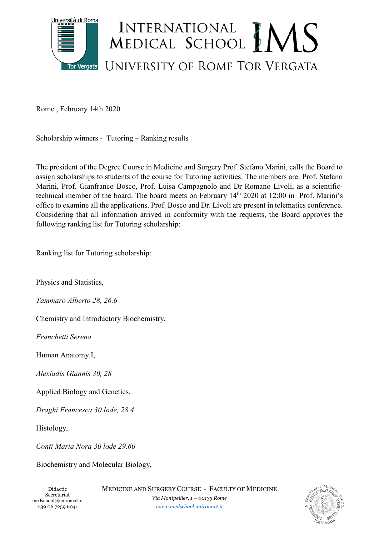

Rome , February 14th 2020

Scholarship winners - Tutoring – Ranking results

The president of the Degree Course in Medicine and Surgery Prof. Stefano Marini, calls the Board to assign scholarships to students of the course for Tutoring activities. The members are: Prof. Stefano Marini, Prof. Gianfranco Bosco, Prof. Luisa Campagnolo and Dr Romano Livoli, as a scientifictechnical member of the board. The board meets on February 14th 2020 at 12:00 in Prof. Marini's office to examine all the applications. Prof. Bosco and Dr. Livoli are present in telematics conference. Considering that all information arrived in conformity with the requests, the Board approves the following ranking list for Tutoring scholarship:

Ranking list for Tutoring scholarship:

Physics and Statistics,

*Tammaro Alberto 28, 26.6*

Chemistry and Introductory Biochemistry,

*Franchetti Serena* 

Human Anatomy I,

*Alexiadis Giannis 30, 28*

Applied Biology and Genetics,

*Draghi Francesca 30 lode, 28.4*

Histology,

*Conti Maria Nora 30 lode 29.60*

Biochemistry and Molecular Biology,

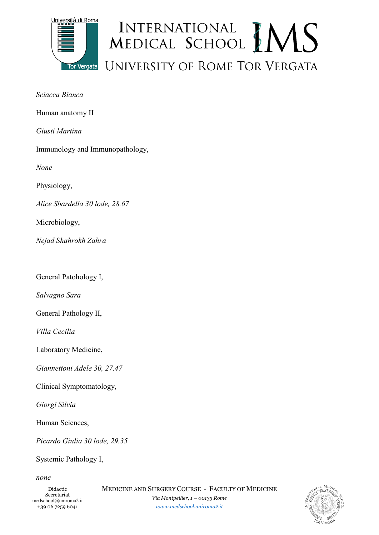

## INTERNATIONAL MEDICAL SCHOOL MENS UNIVERSITY OF ROME TOR VERGATA

Human anatomy II

*Giusti Martina*

Immunology and Immunopathology,

*None* 

Physiology,

*Alice Sbardella 30 lode, 28.67*

Microbiology,

*Nejad Shahrokh Zahra* 

General Patohology I,

*Salvagno Sara*

General Pathology II,

*Villa Cecilia*

Laboratory Medicine,

*Giannettoni Adele 30, 27.47*

Clinical Symptomatology,

*Giorgi Silvia*

Human Sciences,

*Picardo Giulia 30 lode, 29.35*

Systemic Pathology I,

*none* 

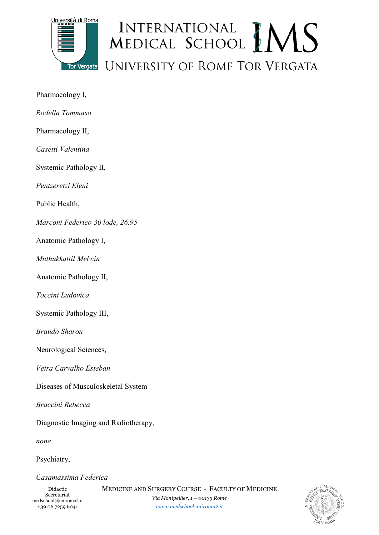

## INTERNATIONAL MEDICAL SCHOOL MENS UNIVERSITY OF ROME TOR VERGATA

- Pharmacology I,
- *Rodella Tommaso*
- Pharmacology II,
- *Casetti Valentina*

Systemic Pathology II,

*Pentzeretzi Eleni*

Public Health,

*Marconi Federico 30 lode, 26.95*

Anatomic Pathology I,

*Muthukkattil Melwin* 

Anatomic Pathology II,

*Toccini Ludovica* 

Systemic Pathology III,

*Braudo Sharon*

Neurological Sciences,

*Veira Carvalho Esteban*

Diseases of Musculoskeletal System

*Braccini Rebecca*

Diagnostic Imaging and Radiotherapy,

*none*

Psychiatry,

*Casamassima Federica* 

*[www.medschool.uniroma2.it](http://www.medschool.uniroma2.it/)*